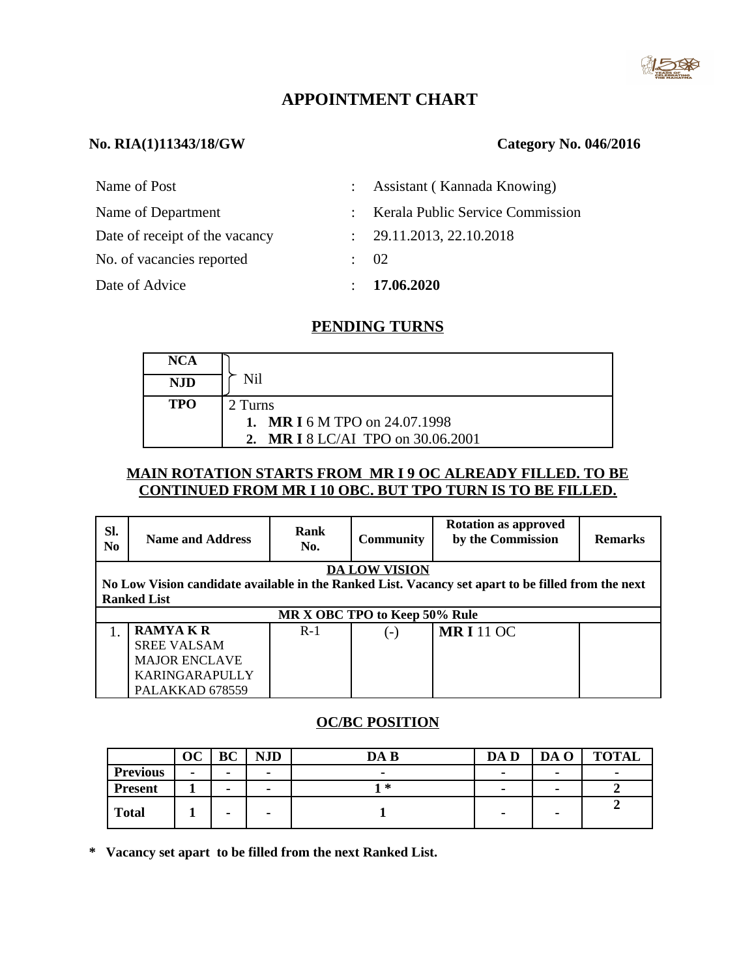

# **APPOINTMENT CHART**

# **No. RIA(1)11343/18/GW Category No. 046/2016**

| Name of Post                   |               | : Assistant (Kannada Knowing)      |
|--------------------------------|---------------|------------------------------------|
| Name of Department             |               | : Kerala Public Service Commission |
| Date of receipt of the vacancy |               | : 29.11.2013, 22.10.2018           |
| No. of vacancies reported      |               | -02                                |
| Date of Advice                 | $\mathcal{L}$ | 17.06.2020                         |

# **PENDING TURNS**

| <b>NCA</b> |                                              |
|------------|----------------------------------------------|
| NJD        | Nil                                          |
| <b>TPO</b> | 2 Turns                                      |
|            | <b>MR I 6 M TPO on 24.07.1998</b><br>$1_{-}$ |
|            | <b>MR I 8 LC/AI TPO on 30.06.2001</b>        |

### **MAIN ROTATION STARTS FROM MR I 9 OC ALREADY FILLED. TO BE CONTINUED FROM MR I 10 OBC. BUT TPO TURN IS TO BE FILLED.**

| SI.<br>N <sub>0</sub>                                                                              | <b>Name and Address</b> | <b>Rank</b><br>No. | <b>Community</b> | <b>Rotation as approved</b><br>by the Commission | <b>Remarks</b> |  |  |
|----------------------------------------------------------------------------------------------------|-------------------------|--------------------|------------------|--------------------------------------------------|----------------|--|--|
| <b>DA LOW VISION</b>                                                                               |                         |                    |                  |                                                  |                |  |  |
| No Low Vision candidate available in the Ranked List. Vacancy set apart to be filled from the next |                         |                    |                  |                                                  |                |  |  |
|                                                                                                    | <b>Ranked List</b>      |                    |                  |                                                  |                |  |  |
| MR X OBC TPO to Keep 50% Rule                                                                      |                         |                    |                  |                                                  |                |  |  |
|                                                                                                    | <b>RAMYAKR</b>          | $R-1$              | $(-)$            | <b>MRI</b> 11 OC                                 |                |  |  |
|                                                                                                    | <b>SREE VALSAM</b>      |                    |                  |                                                  |                |  |  |
|                                                                                                    | <b>MAJOR ENCLAVE</b>    |                    |                  |                                                  |                |  |  |
|                                                                                                    | KARINGARAPULLY          |                    |                  |                                                  |                |  |  |
|                                                                                                    | PALAKKAD 678559         |                    |                  |                                                  |                |  |  |

# **OC/BC POSITION**

|                 | OС                       | BC                       | <b>NJD</b>               | DA B                     | DA D                     | DA O                     | <b>TOTAL</b>             |
|-----------------|--------------------------|--------------------------|--------------------------|--------------------------|--------------------------|--------------------------|--------------------------|
| <b>Previous</b> | $\overline{\phantom{0}}$ | $\overline{\phantom{a}}$ | $\overline{\phantom{0}}$ | $\overline{\phantom{0}}$ | $\,$                     | $\overline{\phantom{0}}$ | $\overline{\phantom{0}}$ |
| <b>Present</b>  |                          | $\overline{\phantom{a}}$ | -                        | 1 *                      | $\overline{\phantom{0}}$ |                          |                          |
| <b>Total</b>    |                          | $\overline{\phantom{a}}$ | -                        |                          | $\overline{\phantom{0}}$ |                          |                          |

**\* Vacancy set apart to be filled from the next Ranked List.**